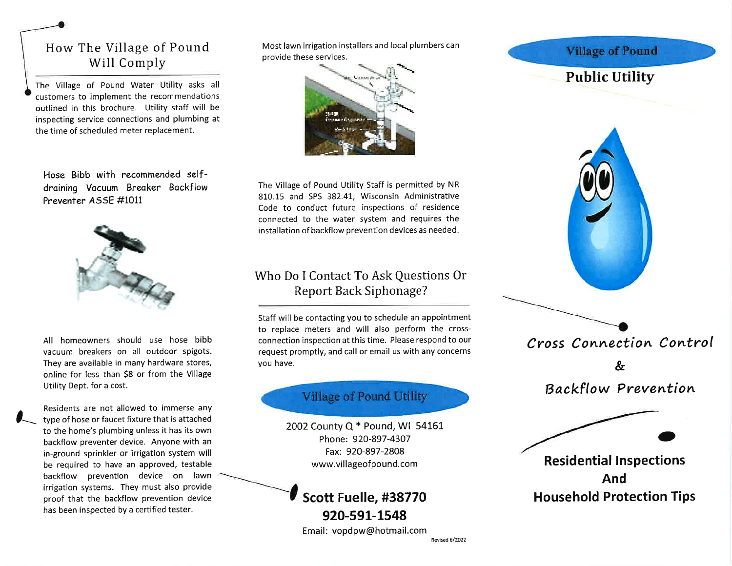## How The Village of Pound Will Comply

The Village of Pound Water Utility asks all customers to implement the recommendations outlined in this brochure. Utility staff will be inspecting service connections and plumbing at the time of scheduled meter replacement.

Hose Bibb wifh recommended selfdraining Vacuum Breaker Backflow Preventer ASSE #1011



All homeowners should use hose bibb vacuum breakers on all outdoor spigots. They are available in many hardware stores, online for less than 58 or from the Village Utility Dept. for a cost.

Residents are not allowed to immerse any type of hose or faucet fixture that is attached to the home's plumbing unless it has its own backflow preventer device. Anyone with an in-ground sprinkler or irrigation system will be required to have an approved, testable backflow prevention device on lawn irrigation systems. They must also provide proof that the backflow prevention device has been inspected by a certified tester.

 $\blacklozenge$ 

Most lawn irrigation installers and local plumbers can provide these services.

# $\sim$   $\alpha$  . ' j :: rr iv.: na.: 0........

The Village of Pound Utility Staff is permitted by NR 810.15 and SPS 382.41, Wisconsin Administrative Code to conduct future inspections of residence connected to the water system and requires the installation of backflow prevention devices as needed.

## Who Do I Contact To Ask Questions Or Report Back Siphonage?

Staff will be contacting you to schedule an appointment to replace meters and will also perform the crossconnection inspection at this time. Please respond to our request promptly, and call or email us with any concerns vou have.

#### **Village of Pound Utility**

2002 County Q \* Pound, Wl <sup>54161</sup> Phone: 920-897-4307 Fax: 920-897-2808 www.villageofpound.com

# Scott Fuelle, #38770 920-591-1548

Email: vopdpw@hotmail.com Revised 6/2022